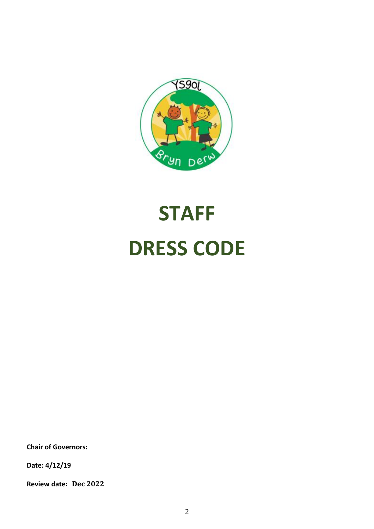

## **STAFF DRESS CODE**

**Chair of Governors:**

**Date: 4/12/19**

**Review date: Dec 2022**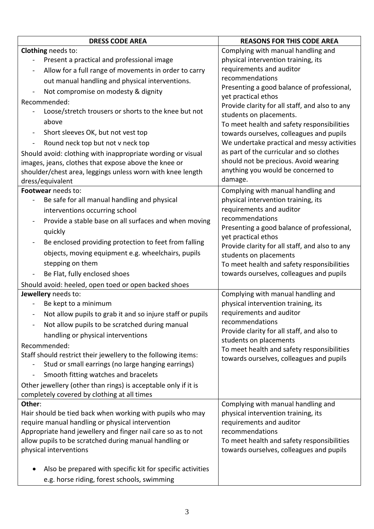| <b>DRESS CODE AREA</b>                                                                                              | <b>REASONS FOR THIS CODE AREA</b>                                                      |
|---------------------------------------------------------------------------------------------------------------------|----------------------------------------------------------------------------------------|
| Clothing needs to:                                                                                                  | Complying with manual handling and                                                     |
| Present a practical and professional image<br>$\overline{\phantom{0}}$                                              | physical intervention training, its                                                    |
| Allow for a full range of movements in order to carry                                                               | requirements and auditor                                                               |
| out manual handling and physical interventions.                                                                     | recommendations                                                                        |
| Not compromise on modesty & dignity<br>$\blacksquare$                                                               | Presenting a good balance of professional,                                             |
| Recommended:                                                                                                        | yet practical ethos                                                                    |
| Loose/stretch trousers or shorts to the knee but not                                                                | Provide clarity for all staff, and also to any                                         |
| above                                                                                                               | students on placements.<br>To meet health and safety responsibilities                  |
| Short sleeves OK, but not vest top<br>$\blacksquare$                                                                | towards ourselves, colleagues and pupils                                               |
| Round neck top but not v neck top<br>$\blacksquare$                                                                 | We undertake practical and messy activities                                            |
|                                                                                                                     | as part of the curricular and so clothes                                               |
| Should avoid: clothing with inappropriate wording or visual<br>images, jeans, clothes that expose above the knee or | should not be precious. Avoid wearing                                                  |
| shoulder/chest area, leggings unless worn with knee length                                                          | anything you would be concerned to                                                     |
| dress/equivalent                                                                                                    | damage.                                                                                |
| Footwear needs to:                                                                                                  | Complying with manual handling and                                                     |
| Be safe for all manual handling and physical                                                                        | physical intervention training, its                                                    |
| interventions occurring school                                                                                      | requirements and auditor                                                               |
| Provide a stable base on all surfaces and when moving                                                               | recommendations                                                                        |
| quickly                                                                                                             | Presenting a good balance of professional,                                             |
| Be enclosed providing protection to feet from falling<br>$\blacksquare$                                             | yet practical ethos                                                                    |
| objects, moving equipment e.g. wheelchairs, pupils                                                                  | Provide clarity for all staff, and also to any                                         |
| stepping on them                                                                                                    | students on placements                                                                 |
|                                                                                                                     | To meet health and safety responsibilities<br>towards ourselves, colleagues and pupils |
| Be Flat, fully enclosed shoes                                                                                       |                                                                                        |
| Should avoid: heeled, open toed or open backed shoes<br>Jewellery needs to:                                         | Complying with manual handling and                                                     |
| Be kept to a minimum                                                                                                | physical intervention training, its                                                    |
| Not allow pupils to grab it and so injure staff or pupils<br>$\blacksquare$                                         | requirements and auditor                                                               |
| Not allow pupils to be scratched during manual<br>$\overline{\phantom{a}}$                                          | recommendations                                                                        |
| handling or physical interventions                                                                                  | Provide clarity for all staff, and also to                                             |
| Recommended:                                                                                                        | students on placements                                                                 |
| Staff should restrict their jewellery to the following items:                                                       | To meet health and safety responsibilities                                             |
| Stud or small earrings (no large hanging earrings)                                                                  | towards ourselves, colleagues and pupils                                               |
| Smooth fitting watches and bracelets<br>$\blacksquare$                                                              |                                                                                        |
| Other jewellery (other than rings) is acceptable only if it is                                                      |                                                                                        |
| completely covered by clothing at all times                                                                         |                                                                                        |
| Other:                                                                                                              | Complying with manual handling and                                                     |
| Hair should be tied back when working with pupils who may                                                           | physical intervention training, its                                                    |
| require manual handling or physical intervention                                                                    | requirements and auditor                                                               |
| Appropriate hand jewellery and finger nail care so as to not                                                        | recommendations                                                                        |
| allow pupils to be scratched during manual handling or                                                              | To meet health and safety responsibilities                                             |
| physical interventions                                                                                              | towards ourselves, colleagues and pupils                                               |
| Also be prepared with specific kit for specific activities                                                          |                                                                                        |
|                                                                                                                     |                                                                                        |
| e.g. horse riding, forest schools, swimming                                                                         |                                                                                        |